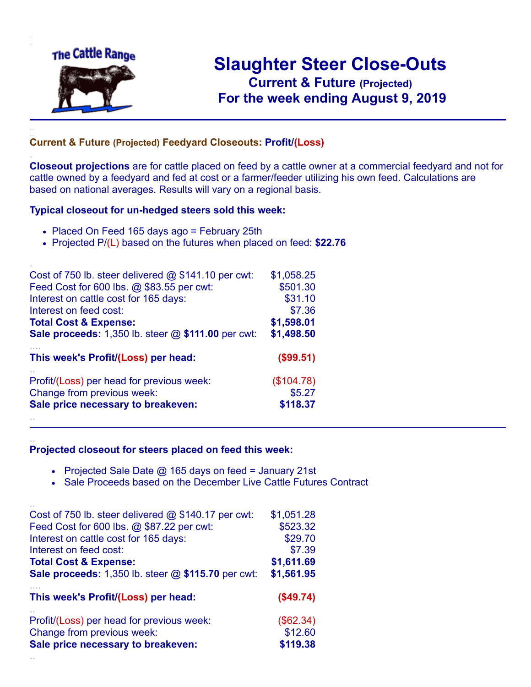

.

..

..

# **Slaughter Steer Close-Outs Current & Future (Projected)** .**For the week ending August 9, 2019**

### **Current & Future (Projected) Feedyard Closeouts: Profit/(Loss)**

**Closeout projections** are for cattle placed on feed by a cattle owner at a commercial feedyard and not for cattle owned by a feedyard and fed at cost or a farmer/feeder utilizing his own feed. Calculations are based on national averages. Results will vary on a regional basis.

#### **Typical closeout for un-hedged steers sold this week:**

- Placed On Feed 165 days ago = February 25th
- Projected P/(L) based on the futures when placed on feed: **\$22.76**

| Cost of 750 lb. steer delivered $@$ \$141.10 per cwt:       | \$1,058.25 |
|-------------------------------------------------------------|------------|
| Feed Cost for 600 lbs. @ \$83.55 per cwt:                   | \$501.30   |
| Interest on cattle cost for 165 days:                       | \$31.10    |
| Interest on feed cost:                                      | \$7.36     |
| <b>Total Cost &amp; Expense:</b>                            | \$1,598.01 |
| <b>Sale proceeds:</b> 1,350 lb. steer $@$ \$111.00 per cwt: | \$1,498.50 |
| This week's Profit/(Loss) per head:                         | (\$99.51)  |
| Profit/(Loss) per head for previous week:                   | (\$104.78) |
| Change from previous week:                                  | \$5.27     |
| Sale price necessary to breakeven:                          | \$118.37   |
|                                                             |            |

#### **Projected closeout for steers placed on feed this week:**

- Projected Sale Date  $@$  165 days on feed = January 21st
- Sale Proceeds based on the December Live Cattle Futures Contract

| Cost of 750 lb. steer delivered $@$ \$140.17 per cwt: | \$1,051.28  |
|-------------------------------------------------------|-------------|
| Feed Cost for 600 lbs. @ \$87.22 per cwt:             | \$523.32    |
| Interest on cattle cost for 165 days:                 | \$29.70     |
| Interest on feed cost:                                | \$7.39      |
| <b>Total Cost &amp; Expense:</b>                      | \$1,611.69  |
| Sale proceeds: 1,350 lb. steer @ \$115.70 per cwt:    | \$1,561.95  |
|                                                       |             |
| This week's Profit/(Loss) per head:                   | (\$49.74)   |
| Profit/(Loss) per head for previous week:             | $(\$62.34)$ |
| Change from previous week:                            | \$12.60     |
| Sale price necessary to breakeven:                    | \$119.38    |